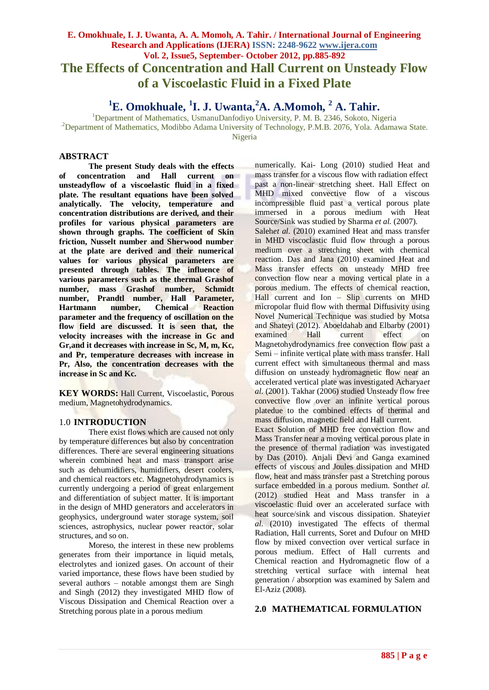# **E. Omokhuale, I. J. Uwanta, A. A. Momoh, A. Tahir. / International Journal of Engineering Research and Applications (IJERA) ISSN: 2248-9622 www.ijera.com Vol. 2, Issue5, September- October 2012, pp.885-892 The Effects of Concentration and Hall Current on Unsteady Flow of a Viscoelastic Fluid in a Fixed Plate**

**<sup>1</sup>E. Omokhuale, <sup>1</sup> I. J. Uwanta,<sup>2</sup>A. A.Momoh, <sup>2</sup> A. Tahir.**

<sup>1</sup>Department of Mathematics, UsmanuDanfodiyo University, P. M. B. 2346, Sokoto, Nigeria

.2Department of Mathematics, Modibbo Adama University of Technology, P.M.B. 2076, Yola. Adamawa State.

Nigeria

# **ABSTRACT**

**The present Study deals with the effects** of concentration and **unsteadyflow of a viscoelastic fluid in a fixed plate. The resultant equations have been solved analytically. The velocity, temperature and concentration distributions are derived, and their profiles for various physical parameters are shown through graphs. The coefficient of Skin friction, Nusselt number and Sherwood number at the plate are derived and their numerical values for various physical parameters are presented through tables. The influence of various parameters such as the thermal Grashof number, mass Grashof number, Schmidt number, Prandtl number, Hall Parameter, Hartmann number, Chemical Reaction parameter and the frequency of oscillation on the flow field are discussed. It is seen that, the velocity increases with the increase in Gc and Gr,and it decreases with increase in Sc, M, m, Kc, and Pr, temperature decreases with increase in Pr, Also, the concentration decreases with the increase in Sc and Kc.** 

**KEY WORDS:** Hall Current, Viscoelastic, Porous medium, Magnetohydrodynamics.

# 1.0 **INTRODUCTION**

There exist flows which are caused not only by temperature differences but also by concentration differences. There are several engineering situations wherein combined heat and mass transport arise such as dehumidifiers, humidifiers, desert coolers, and chemical reactors etc. Magnetohydrodynamics is currently undergoing a period of great enlargement and differentiation of subject matter. It is important in the design of MHD generators and accelerators in geophysics, underground water storage system, soil sciences, astrophysics, nuclear power reactor, solar structures, and so on.

Moreso, the interest in these new problems generates from their importance in liquid metals, electrolytes and ionized gases. On account of their varied importance, these flows have been studied by several authors – notable amongst them are Singh and Singh (2012) they investigated MHD flow of Viscous Dissipation and Chemical Reaction over a Stretching porous plate in a porous medium

numerically. Kai- Long (2010) studied Heat and mass transfer for a viscous flow with radiation effect past a non-linear stretching sheet. Hall Effect on MHD mixed convective flow of a viscous incompressible fluid past a vertical porous plate immersed in a porous medium with Heat Source/Sink was studied by Sharma et al. (2007). Salehet al. (2010) examined Heat and mass transfer

in MHD viscoclastic fluid flow through a porous medium over a stretching sheet with chemical reaction. Das and Jana (2010) examined Heat and Mass transfer effects on unsteady MHD free convection flow near a moving vertical plate in a porous medium. The effects of chemical reaction, Hall current and Ion – Slip currents on MHD micropolar fluid flow with thermal Diffusivity using Novel Numerical Technique was studied by Motsa and Shateyi (2012). Aboeldahab and Elbarby (2001) examined Hall current effect on Magnetohydrodynamics free convection flow past a Semi – infinite vertical plate with mass transfer. Hall current effect with simultaneous thermal and mass diffusion on unsteady hydromagnetic flow near an accelerated vertical plate was investigated Acharya*et al.* (2001). Takhar (2006) studied Unsteady flow free convective flow over an infinite vertical porous platedue to the combined effects of thermal and mass diffusion, magnetic field and Hall current.

Exact Solution of MHD free convection flow and Mass Transfer near a moving vertical porous plate in the presence of thermal radiation was investigated by Das (2010). Anjali Devi and Ganga examined effects of viscous and Joules dissipation and MHD flow, heat and mass transfer past a Stretching porous surface embedded in a porous medium. Sonth*et al.* (2012) studied Heat and Mass transfer in a viscoelastic fluid over an accelerated surface with heat source/sink and viscous dissipation. Shateyi*et al.* (2010) investigated The effects of thermal Radiation, Hall currents, Soret and Dufour on MHD flow by mixed convection over vertical surface in porous medium. Effect of Hall currents and Chemical reaction and Hydromagnetic flow of a stretching vertical surface with internal heat generation / absorption was examined by Salem and El-Aziz (2008).

# **2.0 MATHEMATICAL FORMULATION**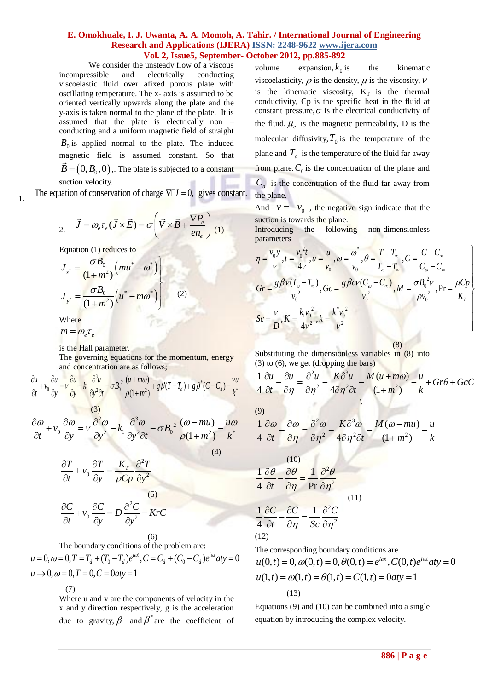We consider the unsteady flow of a viscous incompressible and electrically conducting viscoelastic fluid over afixed porous plate with oscillating temperature. The x- axis is assumed to be oriented vertically upwards along the plate and the y-axis is taken normal to the plane of the plate. It is assumed that the plate is electrically non – conducting and a uniform magnetic field of straight  $B_0$  is applied normal to the plate. The induced magnetic field is assumed constant. So that  $\vec{B} = (0, B_0, 0)$ . The plate is subjected to a constant suction velocity.

1. The equation of conservation of charge  $\nabla J = 0$ , gives constant.

$$
\vec{J} = \omega_e \tau_e (\vec{J} \times \vec{E}) = \sigma \left( \vec{V} \times \vec{B} + \frac{\nabla P_e}{en_e} \right) (1)
$$

Equation (1) reduces to

$$
J_{x^*} = \frac{\sigma B_0}{(1 + m^2)} (mu^* - \omega^*)
$$
  

$$
J_{y^*} = \frac{\sigma B_0}{(1 + m^2)} (u^* - m\omega^*)
$$
 (2)

Where

$$
m = \omega_e \tau_e
$$

is the Hall parameter.

and concentration are as follows;

The governing equations for the momentum, energy  
and concentration are as follows;  

$$
\frac{\partial u}{\partial t} + v_0 \frac{\partial u}{\partial y} = v \frac{\partial u}{\partial y} - k_1 \frac{\partial^3 u}{\partial y^2 \partial t} - \sigma B_0^2 \frac{(u + m\omega)}{\rho(1 + m^2)} + g\beta (T - T_d) + g\beta^* (C - C_d) - \frac{vu}{k^*}
$$

$$
\frac{\partial \omega}{\partial t} + v_0 \frac{\partial \omega}{\partial y} = v \frac{\partial^2 \omega}{\partial y^2} - k_1 \frac{\partial^3 \omega}{\partial y^2 \partial t} - \sigma B_0^2 \frac{(\omega - mu)}{\rho (1 + m^2)} - \frac{u \omega}{k^*} = \frac{1}{4}
$$
\n(4)

$$
\frac{\partial T}{\partial t} + v_0 \frac{\partial T}{\partial y} = \frac{K_T}{\rho C p} \frac{\partial^2 T}{\partial y^2}
$$

$$
\frac{\partial C}{\partial t} + v_0 \frac{\partial C}{\partial y} = D \frac{\partial^2 C}{\partial y^2} - KrC
$$

$$
(6)
$$

The boundary conditions of the problem are:

(6)<br>The boundary conditions of the problem are:<br> $0, \omega = 0, T = T_d + (T_0 - T_d)e^{i\omega t}, C = C_d + (C_0 - C_d)e^{i\omega t}aty = 0$ 0,  $\omega = 0, T = T_d + (T_0 - T_d)e^{i\omega t}$ <br>0,  $\omega = 0, T = 0, C = 0$  aty = 1 ons of the problem are:<br> $\frac{i\omega t}{c}$ ,  $C = C_1 + (C_2 - C_1)e^{i\omega t}$ (6)<br>The boundary conditions of the problem are:<br> $u = 0, \omega = 0, T = T_d + (T_0 - T_d)e^{i\omega t}, C = C_d + (C_0 - C_d)e^{i\omega t}$  aty *u* = 0,  $\omega$  = 0,  $T = T_d + (T_0 - T_d)$ <br> *u*  $\rightarrow$  0,  $\omega$  = 0,  $T = 0$ ,  $C = 0$  aty (6) (12<br>
The boundary conditions of the problem are: The conditions of the problem are: The  $= 0, \omega = 0, T = T_d + (T_0 - T_d)e^{i\omega t}, C = C_d + (C_0 - C_d)e^{i\omega t}$  at  $= 0$   $u($  $u \rightarrow 0, \omega = 0, T = 0, C = 0$ aty = 1  $= 0, \omega = 0, T = T_d + (T_0 - T_d)e^{i\omega t}$ ,  $C = C_d$ <br>  $\rightarrow 0, \omega = 0, T = 0, C = 0$  at  $y = 1$ 

(7)

Where u and v are the components of velocity in the x and y direction respectively, g is the acceleration due to gravity,  $\beta$  and  $\beta^*$  are the coefficient of

volume expansion,  $k_0$ the kinematic viscoelasticity,  $\rho$  is the density,  $\mu$  is the viscosity,  $\nu$ is the kinematic viscosity,  $K_T$  is the thermal conductivity, Cp is the specific heat in the fluid at constant pressure,  $\sigma$  is the electrical conductivity of the fluid,  $\mu_e$  is the magnetic permeability, D is the molecular diffusivity,  $T_0$  is the temperature of the plane and  $T_d$  is the temperature of the fluid far away from plane.  $C_0$  is the concentration of the plane and  $C_d$  is the concentration of the fluid far away from the plane.

And  $v = -v_0$ , the negative sign indicate that the suction is towards the plane.

Introducing the following non-dimensionless parameters

Introducing the following non-dimensionless  
\nparameters  
\n
$$
\eta = \frac{v_0 y}{v}, t = \frac{v_0^2 t}{4v}, u = \frac{u}{v_0}, \omega = \frac{\omega^*}{v_0}, \theta = \frac{T - T_{\infty}}{T_{\infty} - T_{\infty}}, C = \frac{C - C_{\infty}}{C_{\infty} - C_{\infty}}
$$
\n
$$
Gr = \frac{g \beta v (T_{\infty} - T_{\infty})}{v_0^2}, Gc = \frac{g \beta c v (C_{\infty} - C_{\infty})}{v_0^2}, M = \frac{\sigma B_0^2 v}{\rho v_0^2}, Pr = \frac{\mu C p}{K_T}
$$
\n
$$
Sc = \frac{v}{D}, K = \frac{k_1 v_0^2}{4v^2}, k = \frac{k^* v_0^2}{v^2}
$$

(8)

Substituting the dimensionless variables in (8) into  
\n(3) to (6), we get (dropping the bars)  
\n
$$
\frac{1}{4} \frac{\partial u}{\partial t} - \frac{\partial u}{\partial \eta} = \frac{\partial^2 u}{\partial \eta^2} - \frac{K \partial^3 u}{4 \partial \eta^2 \partial t} - \frac{M (u + m\omega)}{(1 + m^2)} - \frac{u}{k} + Gr \theta + GcC
$$

 $(9)$ 

$$
\frac{1}{4} \frac{\partial \omega}{\partial t} - \frac{\partial \omega}{\partial \eta} = \frac{\partial^2 \omega}{\partial \eta^2} - \frac{K \partial^3 \omega}{4 \partial \eta^2 \partial t} - \frac{M(\omega - mu)}{(1 + m^2)} - \frac{u}{k}
$$

(10)  
\n
$$
\frac{1}{4} \frac{\partial \theta}{\partial t} - \frac{\partial \theta}{\partial \eta} = \frac{1}{Pr} \frac{\partial^2 \theta}{\partial \eta^2}
$$
\n(11)  
\n
$$
\frac{1}{4} \frac{\partial C}{\partial t} - \frac{\partial C}{\partial \eta} = \frac{1}{Sc} \frac{\partial^2 C}{\partial \eta^2}
$$
\n(12)

The corresponding boundary conditions are

The corresponding boundary conditions are<br>  $(0,t) = 0, \omega(0,t) = 0, \theta(0,t) = e^{i\omega t}, C(0,t)e^{i\omega t}$  at  $y = 0$ (0, t) = 0,  $\omega(0, t) = 0$ ,  $\theta(0, t) = e^{i\omega t}$ ,  $C(0, t)$ <br>(1, t) =  $\omega(1, t) = \theta(1, t) = C(1, t) = 0$  aty = 1 The corresponding boundary conditions are<br>  $u(0,t) = 0, \omega(0,t) = 0, \theta(0,t) = e^{i\omega t}, C(0,t)e^{i\omega t}$  aty *u*(0,*t*) = 0,  $\omega$ (0,*t*) = 0,  $\theta$ (0,*t*) =  $e^{i\omega t}$ ,  $C$ ((<br> *u*(1,*t*) =  $\omega$ (1,*t*) =  $\theta$ (1,*t*) =  $C$ (1,*t*) = 0*aty* inding boundary conditions are<br>  $\omega(0,t) = 0, \theta(0,t) = e^{i\omega t}, C(0,t)e^{i\omega t}$  aty 0,  $\omega(0, t) = 0, \theta(0, t) = 0$ <br> $\omega(1, t) = \theta(1, t) = 0$ responding boundary conditions are<br>= 0,  $\omega(0,t) = 0$ ,  $\theta(0,t) = e^{i\omega t}$ ,  $C(0,t)e^{i\omega t}$  aty = 0 = 0,  $\omega(0,t) = 0$ ,  $\theta(0,t) = e^{i\omega t}$ ,  $C(0,t)e^{i\omega t}$  aty<br>=  $\omega(1,t) = \theta(1,t) = C(1,t) = 0$  aty = 1 (13)

Equations (9) and (10) can be combined into a single equation by introducing the complex velocity.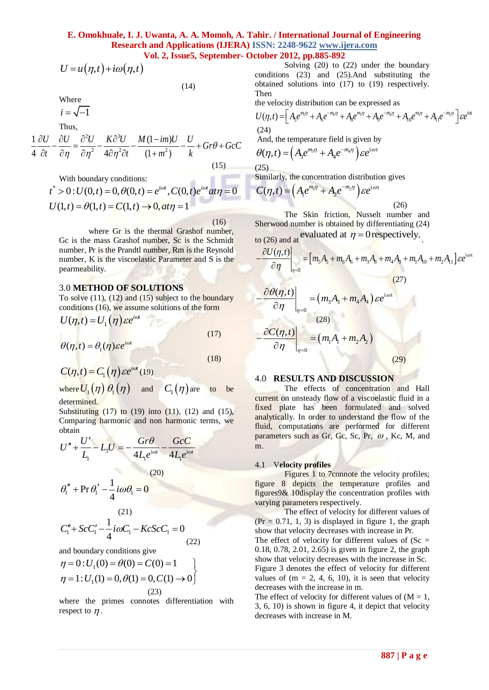(25)

$$
U = u(\eta, t) + i\omega(\eta, t)
$$

(14)

(16)

Where

 $i = \sqrt{-1}$ 

Thus,

Thus,  
\n
$$
\frac{1}{4} \frac{\partial U}{\partial t} - \frac{\partial U}{\partial \eta} = \frac{\partial^2 U}{\partial \eta^2} - \frac{K \partial^3 U}{4 \partial \eta^2 \partial t} - \frac{M (1 - im)U}{(1 + m^2)} - \frac{U}{k} + Gr \theta + GcC
$$
\n(15)

With boundary conditions:

With boundary conditions:  
\n
$$
t^* > 0
$$
:  $U(0,t) = 0$ ,  $\theta(0,t) = e^{i\omega t}$ ,  $C(0,t)e^{i\omega t} \frac{at\eta}{dt} = 0$   
\n $U(1,t) = \theta(1,t) = C(1,t) \rightarrow 0, \frac{at\eta}{dt} = 1$ 

where Gr is the thermal Grashof number, Gc is the mass Grashof number, Sc is the Schmidt number, Pr is the Prandtl number, Rm is the Reynold number, K is the viscoelastic Parameter and S is the pearmeability.

#### 3.0 **METHOD OF SOLUTIONS**

To solve  $(11)$ ,  $(12)$  and  $(15)$  subject to the boundary conditions (16), we assume solutions of the form

$$
U(\eta, t) = U_1(\eta) \varepsilon e^{i\omega t}
$$
 (17)

$$
\theta(\eta, t) = \theta_1(\eta) \varepsilon e^{i\omega t}
$$
\n(18)

$$
C(\eta, t) = C_1(\eta) \varepsilon e^{i\omega t} (19)
$$

where  $U^{\,}_{1}(\eta)\,\theta^{\,}_{1}(\eta)$ and  $C_1(\eta)$  are to be determined.

Substituting  $(17)$  to  $(19)$  into  $(11)$ ,  $(12)$  and  $(15)$ , Comparing harmonic and non harmonic terms, we obtain

obtain  
\n
$$
U'' + \frac{U'}{L_1} - L_3U = -\frac{Gr\theta}{4L_1e^{i\omega t}} - \frac{GcC}{4L_1e^{i\omega t}}
$$
\n(20)

$$
\theta_{1}^{"} + \Pr \theta_{1}' - \frac{1}{4} i \omega \theta_{1} = 0
$$

(21)  

$$
C''_1 + ScC'_1 - \frac{1}{4}i\omega C_1 - KcScC_1 = 0
$$
(22)

and boundary conditions give  
\n
$$
\eta = 0: U_1(0) = \theta(0) = C(0) = 1
$$
  
\n $\eta = 1: U_1(1) = 0, \theta(1) = 0, C(1) \rightarrow 0$   
\n(23)

where the primes connotes differentiation with respect to  $\eta$ .

Solving (20) to (22) under the boundary conditions (23) and (25).And substituting the obtained solutions into (17) to (19) respectively. Then

Then  
\nthe velocity distribution can be expressed as  
\n
$$
U(\eta, t) = \left[A_5 e^{m_5 \eta} + A_6 e^{-m_6 \eta} + A_8 e^{m_3 \eta} + A_9 e^{-m_4 \eta} + A_{10} e^{-m_1 \eta} + A_{11} e^{-m_2 \eta}\right] \varepsilon e^{\text{int}}
$$
\n(24)

And, the temperature field is given by  
\n
$$
\theta(\eta, t) = \left(A_3 e^{m_3 \eta} + A_4 e^{-m_4 \eta}\right) \varepsilon e^{i \omega t}
$$

Similarly, the concentration distribution gives  
\n
$$
C(\eta, t) = \left(A_1 e^{m_1 \eta} + A_2 e^{-m_2 \eta}\right) \varepsilon e^{i \omega t}
$$
\n(26)

The Skin friction, Nusselt number and Sherwood number is obtained by differentiating (24)  $etad$ 

to (26) and at 
$$
\theta
$$

$$
\begin{aligned}\n\text{so that good number is obtained by differentiating } (2+)^{2} \\
\text{to (26) and at } \text{evaluated at } \eta = 0 \\
\frac{\partial U(\eta, t)}{\partial \eta}\Big|_{\eta=0} &= \left[m_{5}A_{5} + m_{6}A_{6} + m_{3}A_{8} + m_{4}A_{9} + m_{1}A_{10} + m_{2}A_{11}\right] \varepsilon e^{\text{i} \omega t} \\
\frac{\partial \theta(\eta, t)}{\partial \eta} &= (m_{5}A_{5} + m_{6}A_{1}) \varepsilon e^{\text{i} \omega t}\n\end{aligned}
$$

$$
-\frac{\partial \theta(\eta, t)}{\partial \eta}\Big|_{\eta=0} = (m_3 A_3 + m_4 A_4) \varepsilon e^{i\omega t}
$$
  
(28)  

$$
-\frac{\partial C(\eta, t)}{\partial \eta}\Big|_{\eta=0} = (m_1 A_1 + m_2 A_2)
$$
  
(29)

#### 4.0 **RESULTS AND DISCUSSION**

*U* =  $u(n,i) + i\omega(n,i)$ <br> **Solution** (23) and (28) no C) ento the homelong and<br> **B** a g expected stationary conditions:<br> **Example 1988** and the transmitted in the properties of the stationary of the internet stationary or the The effects of concentration and Hall current on unsteady flow of a viscoelastic fluid in a fixed plate has been formulated and solved analytically. In order to understand the flow of the fluid, computations are performed for different parameters such as Gr, Gc, Sc, Pr,  $\omega$ , Kc, M, and m.

#### 4.1 V**elocity profiles**

Figures 1 to 7connote the velocity profiles; figure 8 depicts the temperature profiles and figures9& 10display the concentration profiles with varying parameters respectively.

The effect of velocity for different values of  $(Pr = 0.71, 1, 3)$  is displayed in figure 1, the graph show that velocity decreases with increase in Pr. The effect of velocity for different values of  $(Sc =$ 0.18, 0.78, 2.01, 2.65) is given in figure 2, the graph show that velocity decreases with the increase in Sc. Figure 3 denotes the effect of velocity for different

values of  $(m = 2, 4, 6, 10)$ , it is seen that velocity decreases with the increase in m.

The effect of velocity for different values of  $(M = 1,$ 3, 6, 10) is shown in figure 4, it depict that velocity decreases with increase in M.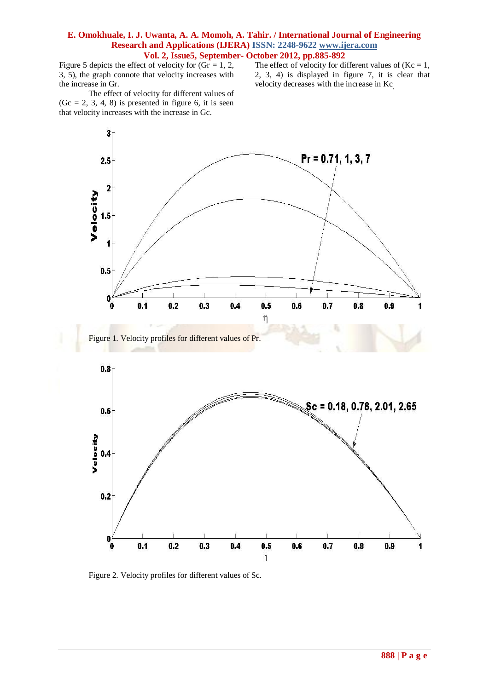Figure 5 depicts the effect of velocity for  $(Gr = 1, 2, 1)$ 3, 5), the graph connote that velocity increases with the increase in Gr.

The effect of velocity for different values of  $(Kc = 1,$ 2, 3, 4) is displayed in figure 7, it is clear that velocity decreases with the increase in Kc.

The effect of velocity for different values of  $(Gc = 2, 3, 4, 8)$  is presented in figure 6, it is seen that velocity increases with the increase in Gc.





Figure 2. Velocity profiles for different values of Sc.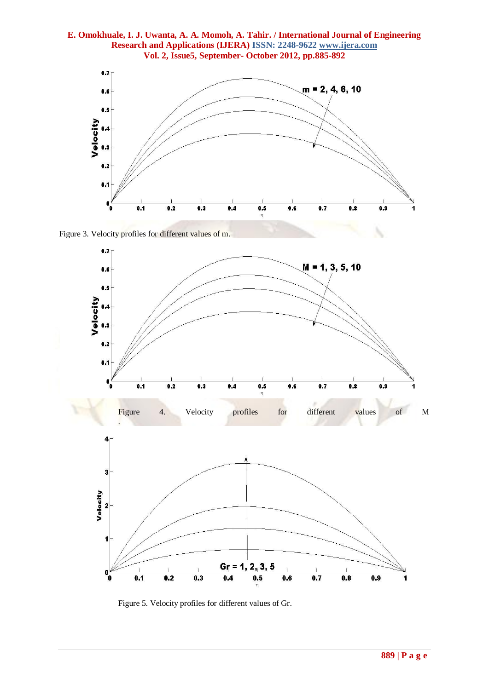

Figure 3. Velocity profiles for different values of m.



Figure 5. Velocity profiles for different values of Gr.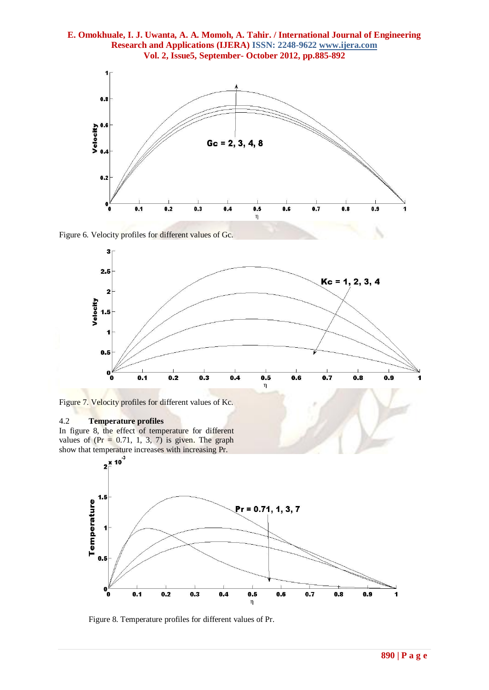

Figure 6. Velocity profiles for different values of Gc.



Figure 7. Velocity profiles for different values of Kc.

#### 4.2 **Temperature profiles**

In figure 8, the effect of temperature for different values of  $(Pr = 0.71, 1, 3, 7)$  is given. The graph

![](_page_5_Figure_7.jpeg)

Figure 8. Temperature profiles for different values of Pr.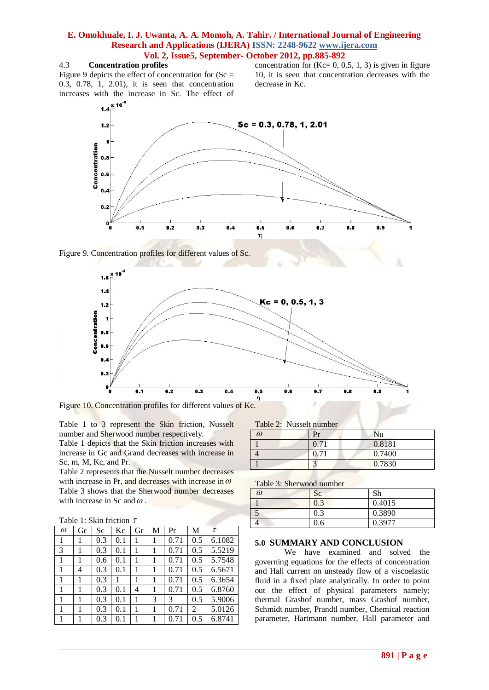#### 4.3 **Concentration profiles**

Figure 9 depicts the effect of concentration for  $(Sc =$ 0.3, 0.78, 1, 2.01), it is seen that concentration increases with the increase in Sc. The effect of

concentration for  $(Kc= 0, 0.5, 1, 3)$  is given in figure 10, it is seen that concentration decreases with the decrease in Kc.

![](_page_6_Figure_4.jpeg)

![](_page_6_Figure_5.jpeg)

![](_page_6_Figure_6.jpeg)

Figure 10. Concentration profiles for different values of Kc.

Table 1 to 3 represent the Skin friction, Nusselt number and Sherwood number respectively.

Table 1 depicts that the Skin friction increases with increase in Gc and Grand decreases with increase in Sc, m, M, Kc, and Pr.

Table 2 represents that the Nusselt number decreases with increase in Pr, and decreases with increase in  $\omega$ Table 3 shows that the Sherwood number decreases with increase in Sc and  $\omega$ .

| Table 1: Skin friction $\tau$ |  |  |  |  |  |
|-------------------------------|--|--|--|--|--|
|-------------------------------|--|--|--|--|--|

| $\omega$ | Gc | Sc  | Kc      | Gr | М | Pr   | M   | $\tau$ |
|----------|----|-----|---------|----|---|------|-----|--------|
| 1        |    | 0.3 | 0.1     | 1  |   | 0.71 | 0.5 | 6.1082 |
| 3        | 1  | 0.3 | 0.1     |    | 1 | 0.71 | 0.5 | 5.5219 |
| 1        |    | 0.6 | 0.1     |    |   | 0.71 | 0.5 | 5.7548 |
| 1        | 4  | 0.3 | 0.1     | 1  | 1 | 0.71 | 0.5 | 6.5671 |
| 1        | 1  | 0.3 |         | 1  | 1 | 0.71 | 0.5 | 6.3654 |
| 1        | 1  | 0.3 | 0.1     | 4  | 1 | 0.71 | 0.5 | 6.8760 |
| 1        | 1  | 0.3 | 0.1     |    | 3 | 3    | 0.5 | 5.9006 |
| 1        | 1  | 0.3 | 0.1     |    | 1 | 0.71 | 2   | 5.0126 |
| 1        | 1  | 0.3 | $0.1\,$ |    |   | 0.71 | 0.5 | 6.8741 |

| Table 2: Nusselt number |
|-------------------------|
|                         |

| W) | Pr            | Nu     |
|----|---------------|--------|
|    | 0.71          | 0.8181 |
|    | $0.7^{\circ}$ | 0.7400 |
|    |               | 0.7830 |

|  | Table 3: Sherwood number |  |
|--|--------------------------|--|
|  |                          |  |

| $\omega$ | Sc  | Sh     |
|----------|-----|--------|
|          | 0.3 | 0.4015 |
|          | 0.3 | 0.3890 |
|          | 0.6 | 0.3977 |

#### **5.0 SUMMARY AND CONCLUSION**

We have examined and solved the governing equations for the effects of concentration and Hall current on unsteady flow of a viscoelastic fluid in a fixed plate analytically. In order to point out the effect of physical parameters namely; thermal Grashof number, mass Grashof number, Schmidt number, Prandtl number, Chemical reaction parameter, Hartmann number, Hall parameter and